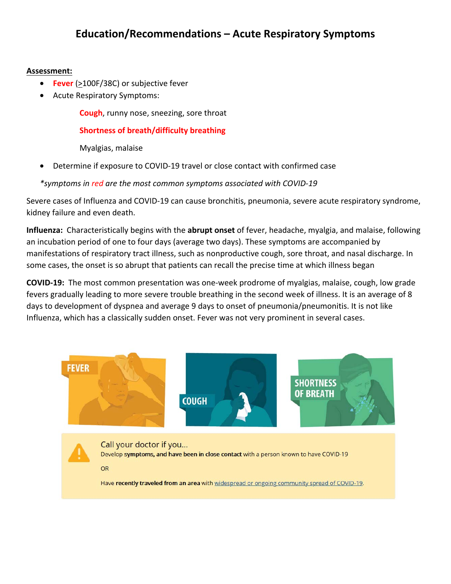#### **Assessment:**

- **Fever** (>100F/38C) or subjective fever
- Acute Respiratory Symptoms:

**Cough**, runny nose, sneezing, sore throat

## **Shortness of breath/difficulty breathing**

Myalgias, malaise

• Determine if exposure to COVID-19 travel or close contact with confirmed case

*\*symptoms in red are the most common symptoms associated with COVID-19* 

Severe cases of Influenza and COVID-19 can cause bronchitis, pneumonia, severe acute respiratory syndrome, kidney failure and even death.

**Influenza:** Characteristically begins with the **abrupt onset** of fever, headache, myalgia, and malaise, following an incubation period of one to four days (average two days). These symptoms are accompanied by manifestations of respiratory tract illness, such as nonproductive cough, sore throat, and nasal discharge. In some cases, the onset is so abrupt that patients can recall the precise time at which illness began

**COVID-19:** The most common presentation was one-week prodrome of myalgias, malaise, cough, low grade fevers gradually leading to more severe trouble breathing in the second week of illness. It is an average of 8 days to development of dyspnea and average 9 days to onset of pneumonia/pneumonitis. It is not like Influenza, which has a classically sudden onset. Fever was not very prominent in several cases.

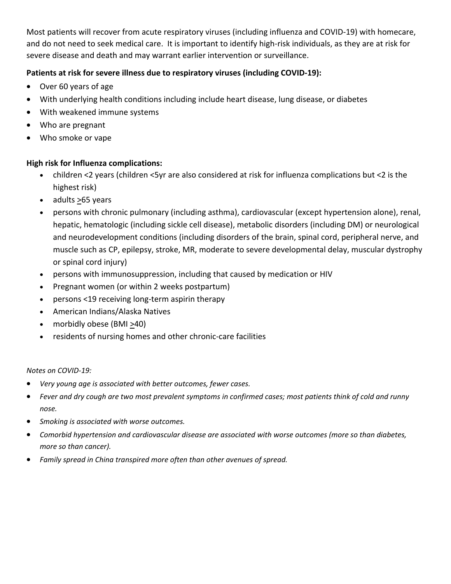Most patients will recover from acute respiratory viruses (including influenza and COVID-19) with homecare, and do not need to seek medical care. It is important to identify high-risk individuals, as they are at risk for severe disease and death and may warrant earlier intervention or surveillance.

### **Patients at risk for severe illness due to respiratory viruses (including COVID-19):**

- Over 60 years of age
- With underlying health conditions including include heart disease, lung disease, or diabetes
- With weakened immune systems
- Who are pregnant
- Who smoke or vape

#### **High risk for Influenza complications:**

- children <2 years (children <5yr are also considered at risk for influenza complications but <2 is the highest risk)
- adults >65 years
- persons with chronic pulmonary (including asthma), cardiovascular (except hypertension alone), renal, hepatic, hematologic (including sickle cell disease), metabolic disorders (including DM) or neurological and neurodevelopment conditions (including disorders of the brain, spinal cord, peripheral nerve, and muscle such as CP, epilepsy, stroke, MR, moderate to severe developmental delay, muscular dystrophy or spinal cord injury)
- persons with immunosuppression, including that caused by medication or HIV
- Pregnant women (or within 2 weeks postpartum)
- persons <19 receiving long-term aspirin therapy
- American Indians/Alaska Natives
- morbidly obese (BMI  $\geq$ 40)
- residents of nursing homes and other chronic-care facilities

#### *Notes on COVID-19:*

- *Very young age is associated with better outcomes, fewer cases.*
- *Fever and dry cough are two most prevalent symptoms in confirmed cases; most patients think of cold and runny nose.*
- *Smoking is associated with worse outcomes.*
- *Comorbid hypertension and cardiovascular disease are associated with worse outcomes (more so than diabetes, more so than cancer).*
- *Family spread in China transpired more often than other avenues of spread.*